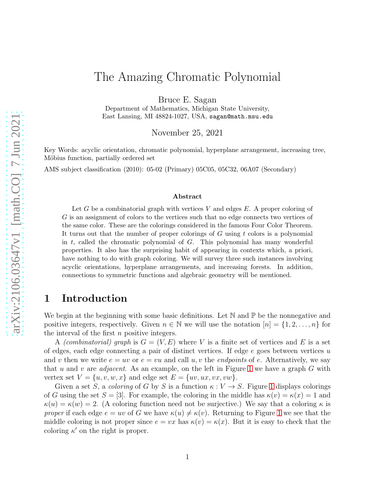# The Amazing Chromatic Polynomial

Bruce E. Sagan

Department of Mathematics, Michigan State University, East Lansing, MI 48824-1027, USA, sagan@math.msu.edu

November 25, 2021

Key Words: acyclic orientation, chromatic polynomial, hyperplane arrangement, increasing tree, Möbius function, partially ordered set

AMS subject classification (2010): 05-02 (Primary) 05C05, 05C32, 06A07 (Secondary)

#### Abstract

Let G be a combinatorial graph with vertices V and edges  $E$ . A proper coloring of G is an assignment of colors to the vertices such that no edge connects two vertices of the same color. These are the colorings considered in the famous Four Color Theorem. It turns out that the number of proper colorings of G using t colors is a polynomial in  $t$ , called the chromatic polynomial of  $G$ . This polynomial has many wonderful properties. It also has the surprising habit of appearing in contexts which, a priori, have nothing to do with graph coloring. We will survey three such instances involving acyclic orientations, hyperplane arrangements, and increasing forests. In addition, connections to symmetric functions and algebraic geometry will be mentioned.

### <span id="page-0-0"></span>1 Introduction

We begin at the beginning with some basic definitions. Let  $\mathbb N$  and  $\mathbb P$  be the nonnegative and positive integers, respectively. Given  $n \in \mathbb{N}$  we will use the notation  $[n] = \{1, 2, \ldots, n\}$  for the interval of the first n positive integers.

A *(combinatorial)* graph is  $G = (V, E)$  where V is a finite set of vertices and E is a set of edges, each edge connecting a pair of distinct vertices. If edge  $e$  goes between vertices u and v then we write  $e = uv$  or  $e = vu$  and call  $u, v$  the *endpoints* of e. Alternatively, we say that u and v are *adjacent*. As an example, on the left in Figure [1](#page-1-0) we have a graph  $G$  with vertex set  $V = \{u, v, w, x\}$  and edge set  $E = \{uv, ux, vx, vw\}$ .

Given a set S, a coloring of G by S is a function  $\kappa : V \to S$ . Figure [1](#page-1-0) displays colorings of G using the set  $S = [3]$ . For example, the coloring in the middle has  $\kappa(v) = \kappa(x) = 1$  and  $\kappa(u) = \kappa(w) = 2$ . (A coloring function need not be surjective.) We say that a coloring  $\kappa$  is proper if each edge  $e = uv$  of G we have  $\kappa(u) \neq \kappa(v)$ . Returning to Figure [1](#page-1-0) we see that the middle coloring is not proper since  $e = vx$  has  $\kappa(v) = \kappa(x)$ . But it is easy to check that the coloring  $\kappa'$  on the right is proper.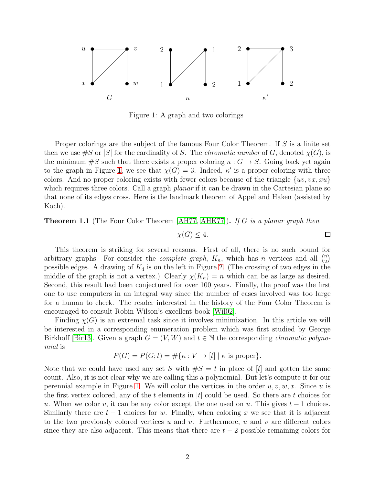

<span id="page-1-0"></span>Figure 1: A graph and two colorings

Proper colorings are the subject of the famous Four Color Theorem. If S is a finite set then we use  $\#S$  or  $|S|$  for the cardinality of S. The *chromatic number* of G, denoted  $\chi(G)$ , is the minimum  $\#S$  such that there exists a proper coloring  $\kappa : G \to S$ . Going back yet again to the graph in Figure [1,](#page-1-0) we see that  $\chi(G) = 3$ . Indeed,  $\kappa'$  is a proper coloring with three colors. And no proper coloring exists with fewer colors because of the triangle  $\{uv, vx, xu\}$ which requires three colors. Call a graph *planar* if it can be drawn in the Cartesian plane so that none of its edges cross. Here is the landmark theorem of Appel and Haken (assisted by Koch).

**Theorem 1.1** (The Four Color Theorem [\[AH77,](#page-14-0) [AHK77\]](#page-14-1)). If G is a planar graph then

$$
\chi(G) \le 4. \Box
$$

This theorem is striking for several reasons. First of all, there is no such bound for arbitrary graphs. For consider the *complete graph*,  $K_n$ , which has *n* vertices and all  $\binom{n}{2}$  $\binom{n}{2}$ possible edges. A drawing of  $K_4$  is on the left in Figure [2.](#page-2-0) (The crossing of two edges in the middle of the graph is not a vertex.) Clearly  $\chi(K_n) = n$  which can be as large as desired. Second, this result had been conjectured for over 100 years. Finally, the proof was the first one to use computers in an integral way since the number of cases involved was too large for a human to check. The reader interested in the history of the Four Color Theorem is encouraged to consult Robin Wilson's excellent book [\[Wil02\]](#page-16-0).

Finding  $\chi(G)$  is an extremal task since it involves minimization. In this article we will be interested in a corresponding enumeration problem which was first studied by George Birkhoff [\[Bir13\]](#page-14-2). Given a graph  $G = (V, W)$  and  $t \in \mathbb{N}$  the corresponding *chromatic polyno*mial is

$$
P(G) = P(G; t) = \#\{\kappa : V \to [t] \mid \kappa \text{ is proper}\}.
$$

Note that we could have used any set S with  $\#S = t$  in place of [t] and gotten the same count. Also, it is not clear why we are calling this a polynomial. But let's compute it for our perennial example in Figure [1.](#page-1-0) We will color the vertices in the order  $u, v, w, x$ . Since u is the first vertex colored, any of the t elements in  $[t]$  could be used. So there are t choices for u. When we color v, it can be any color except the one used on u. This gives  $t-1$  choices. Similarly there are  $t-1$  choices for w. Finally, when coloring x we see that it is adjacent to the two previously colored vertices u and v. Furthermore, u and v are different colors since they are also adjacent. This means that there are  $t-2$  possible remaining colors for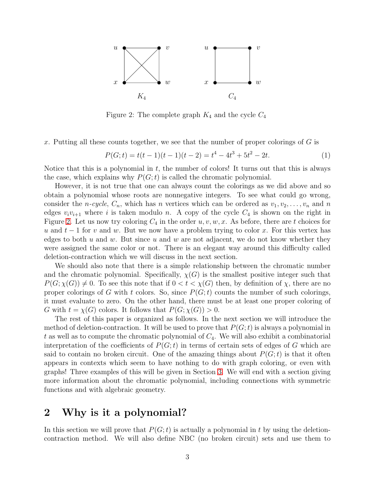

<span id="page-2-0"></span>Figure 2: The complete graph  $K_4$  and the cycle  $C_4$ 

x. Putting all these counts together, we see that the number of proper colorings of  $G$  is

<span id="page-2-1"></span>
$$
P(G; t) = t(t-1)(t-1)(t-2) = t4 - 4t3 + 5t2 - 2t.
$$
 (1)

Notice that this is a polynomial in  $t$ , the number of colors! It turns out that this is always the case, which explains why  $P(G; t)$  is called the chromatic polynomial.

However, it is not true that one can always count the colorings as we did above and so obtain a polynomial whose roots are nonnegative integers. To see what could go wrong, consider the *n-cycle*,  $C_n$ , which has *n* vertices which can be ordered as  $v_1, v_2, \ldots, v_n$  and *n* edges  $v_i v_{i+1}$  where i is taken modulo n. A copy of the cycle  $C_4$  is shown on the right in Figure [2.](#page-2-0) Let us now try coloring  $C_4$  in the order  $u, v, w, x$ . As before, there are t choices for u and  $t-1$  for v and w. But we now have a problem trying to color x. For this vertex has edges to both  $u$  and  $w$ . But since  $u$  and  $w$  are not adjacent, we do not know whether they were assigned the same color or not. There is an elegant way around this difficulty called deletion-contraction which we will discuss in the next section.

We should also note that there is a simple relationship between the chromatic number and the chromatic polynomial. Specifically,  $\chi(G)$  is the smallest positive integer such that  $P(G; \chi(G)) \neq 0$ . To see this note that if  $0 < t < \chi(G)$  then, by definition of  $\chi$ , there are no proper colorings of G with t colors. So, since  $P(G; t)$  counts the number of such colorings, it must evaluate to zero. On the other hand, there must be at least one proper coloring of G with  $t = \chi(G)$  colors. It follows that  $P(G; \chi(G)) > 0$ .

The rest of this paper is organized as follows. In the next section we will introduce the method of deletion-contraction. It will be used to prove that  $P(G; t)$  is always a polynomial in t as well as to compute the chromatic polynomial of  $C_4$ . We will also exhibit a combinatorial interpretation of the coefficients of  $P(G; t)$  in terms of certain sets of edges of G which are said to contain no broken circuit. One of the amazing things about  $P(G; t)$  is that it often appears in contexts which seem to have nothing to do with graph coloring, or even with graphs! Three examples of this will be given in Section [3.](#page-5-0) We will end with a section giving more information about the chromatic polynomial, including connections with symmetric functions and with algebraic geometry.

## 2 Why is it a polynomial?

In this section we will prove that  $P(G; t)$  is actually a polynomial in t by using the deletioncontraction method. We will also define NBC (no broken circuit) sets and use them to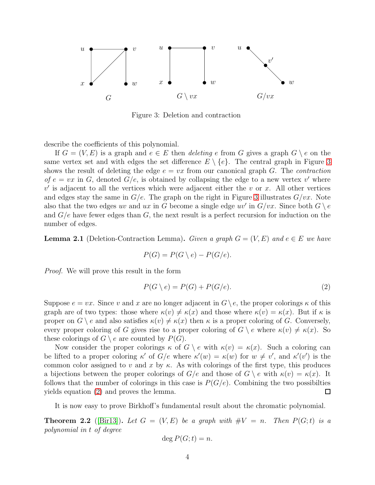

<span id="page-3-0"></span>Figure 3: Deletion and contraction

describe the coefficients of this polynomial.

If  $G = (V, E)$  is a graph and  $e \in E$  then *deleting* e from G gives a graph  $G \setminus e$  on the same vertex set and with edges the set difference  $E \setminus \{e\}$ . The central graph in Figure [3](#page-3-0) shows the result of deleting the edge  $e = vx$  from our canonical graph G. The *contraction* of  $e = vx$  in G, denoted  $G/e$ , is obtained by collapsing the edge to a new vertex v' where  $v'$  is adjacent to all the vertices which were adjacent either the v or x. All other vertices and edges stay the same in  $G/e$ . The graph on the right in Figure [3](#page-3-0) illustrates  $G/vx$ . Note also that the two edges uv and ux in G become a single edge uv' in  $G/vx$ . Since both  $G \setminus e$ and  $G/e$  have fewer edges than  $G$ , the next result is a perfect recursion for induction on the number of edges.

**Lemma 2.1** (Deletion-Contraction Lemma). Given a graph  $G = (V, E)$  and  $e \in E$  we have

$$
P(G) = P(G \setminus e) - P(G/e).
$$

Proof. We will prove this result in the form

<span id="page-3-1"></span>
$$
P(G \setminus e) = P(G) + P(G/e). \tag{2}
$$

Suppose  $e = vx$ . Since v and x are no longer adjacent in  $G \backslash e$ , the proper colorings  $\kappa$  of this graph are of two types: those where  $\kappa(v) \neq \kappa(x)$  and those where  $\kappa(v) = \kappa(x)$ . But if  $\kappa$  is proper on  $G \setminus e$  and also satisfies  $\kappa(v) \neq \kappa(x)$  then  $\kappa$  is a proper coloring of G. Conversely, every proper coloring of G gives rise to a proper coloring of  $G \setminus e$  where  $\kappa(v) \neq \kappa(x)$ . So these colorings of  $G \setminus e$  are counted by  $P(G)$ .

Now consider the proper colorings  $\kappa$  of  $G \setminus e$  with  $\kappa(v) = \kappa(x)$ . Such a coloring can be lifted to a proper coloring  $\kappa'$  of  $G/e$  where  $\kappa'(w) = \kappa(w)$  for  $w \neq v'$ , and  $\kappa'(v')$  is the common color assigned to v and x by  $\kappa$ . As with colorings of the first type, this produces a bijections between the proper colorings of  $G/e$  and those of  $G \setminus e$  with  $\kappa(v) = \kappa(x)$ . It follows that the number of colorings in this case is  $P(G/e)$ . Combining the two possibilties yields equation [\(2\)](#page-3-1) and proves the lemma. 口

It is now easy to prove Birkhoff's fundamental result about the chromatic polynomial.

**Theorem 2.2** ([\[Bir13\]](#page-14-2)). Let  $G = (V, E)$  be a graph with  $\#V = n$ . Then  $P(G; t)$  is a polynomial in t of degree

$$
\deg P(G;t) = n.
$$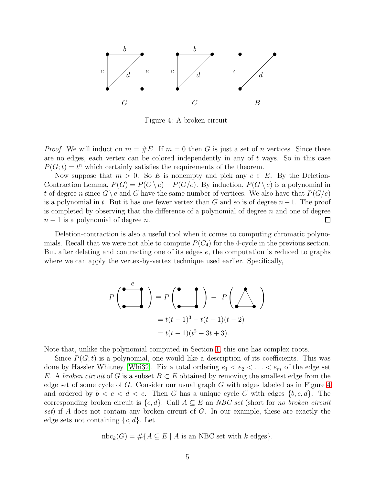

<span id="page-4-0"></span>Figure 4: A broken circuit

*Proof.* We will induct on  $m = \#E$ . If  $m = 0$  then G is just a set of n vertices. Since there are no edges, each vertex can be colored independently in any of  $t$  ways. So in this case  $P(G; t) = t<sup>n</sup>$  which certainly satisfies the requirements of the theorem.

Now suppose that  $m > 0$ . So E is nonempty and pick any  $e \in E$ . By the Deletion-Contraction Lemma,  $P(G) = P(G \setminus e) - P(G/e)$ . By induction,  $P(G \setminus e)$  is a polynomial in t of degree n since  $G \setminus e$  and G have the same number of vertices. We also have that  $P(G/e)$ is a polynomial in t. But it has one fewer vertex than G and so is of degree  $n-1$ . The proof is completed by observing that the difference of a polynomial of degree  $n$  and one of degree  $n-1$  is a polynomial of degree n.  $\Box$ 

Deletion-contraction is also a useful tool when it comes to computing chromatic polynomials. Recall that we were not able to compute  $P(C_4)$  for the 4-cycle in the previous section. But after deleting and contracting one of its edges e, the computation is reduced to graphs where we can apply the vertex-by-vertex technique used earlier. Specifically,

$$
P\left(\begin{array}{c}\n e \\
\hline\n \end{array}\right) = P\left(\begin{array}{c}\n \text{R} \\
\hline\n \end{array}\right) - P\left(\begin{array}{c}\n \text{R} \\
\hline\n \end{array}\right)
$$
  
=  $t(t-1)^3 - t(t-1)(t-2)$   
=  $t(t-1)(t^2 - 3t + 3).$ 

Note that, unlike the polynomial computed in Section [1,](#page-0-0) this one has complex roots.

Since  $P(G; t)$  is a polynomial, one would like a description of its coefficients. This was done by Hassler Whitney [\[Whi32\]](#page-16-1). Fix a total ordering  $e_1 < e_2 < \ldots < e_m$  of the edge set E. A broken circuit of G is a subset  $B \subset E$  obtained by removing the smallest edge from the edge set of some cycle of G. Consider our usual graph G with edges labeled as in Figure [4](#page-4-0) and ordered by  $b < c < d < e$ . Then G has a unique cycle C with edges  $\{b, c, d\}$ . The corresponding broken circuit is  $\{c, d\}$ . Call  $A \subseteq E$  an NBC set (short for no broken circuit set) if A does not contain any broken circuit of G. In our example, these are exactly the edge sets not containing  $\{c, d\}$ . Let

$$
nbc_k(G) = \# \{ A \subseteq E \mid A \text{ is an NBC set with } k \text{ edges } \}.
$$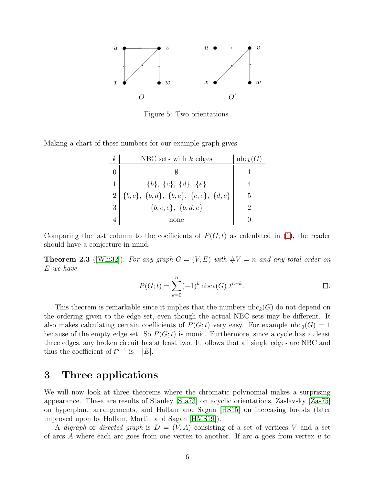

<span id="page-5-1"></span>Figure 5: Two orientations

Making a chart of these numbers for our example graph gives

| $\,k$ | NBC sets with $k$ edges                       | $nbc_k(G)$ |
|-------|-----------------------------------------------|------------|
|       |                                               |            |
| 1     | $\{b\}, \{c\}, \{d\}, \{e\}$                  |            |
|       | $\{b,c\},~\{b,d\},~\{b,e\},~\{c,e\},~\{d,e\}$ | 5          |
| 3     | $\{b,c,e\}, \{b,d,e\}$                        |            |
|       | none                                          |            |

Comparing the last column to the coefficients of  $P(G; t)$  as calculated in [\(1\)](#page-2-1), the reader should have a conjecture in mind.

<span id="page-5-2"></span>**Theorem 2.3** ([\[Whi32\]](#page-16-1)). For any graph  $G = (V, E)$  with  $\#V = n$  and any total order on E we have

$$
P(G; t) = \sum_{k=0}^{n} (-1)^{k} \operatorname{nbc}_{k}(G) t^{n-k}.
$$

This theorem is remarkable since it implies that the numbers  $nbc_k(G)$  do not depend on the ordering given to the edge set, even though the actual NBC sets may be different. It also makes calculating certain coefficients of  $P(G; t)$  very easy. For example  $\text{nbc}_0(G) = 1$ because of the empty edge set. So  $P(G; t)$  is monic. Furthermore, since a cycle has at least three edges, any broken circuit has at least two. It follows that all single edges are NBC and thus the coefficient of  $t^{n-1}$  is  $-|E|$ .

## <span id="page-5-0"></span>3 Three applications

We will now look at three theorems where the chromatic polynomial makes a surprising appearance. These are results of Stanley [\[Sta73\]](#page-15-0) on acyclic orientations, Zaslavsky [\[Zas75\]](#page-16-2) on hyperplane arrangements, and Hallam and Sagan [\[HS15\]](#page-15-1) on increasing forests (later improved upon by Hallam, Martin and Sagan [\[HMS19\]](#page-15-2)).

A digraph or directed graph is  $D = (V, A)$  consisting of a set of vertices V and a set of arcs A where each arc goes from one vertex to another. If arc  $a$  goes from vertex  $u$  to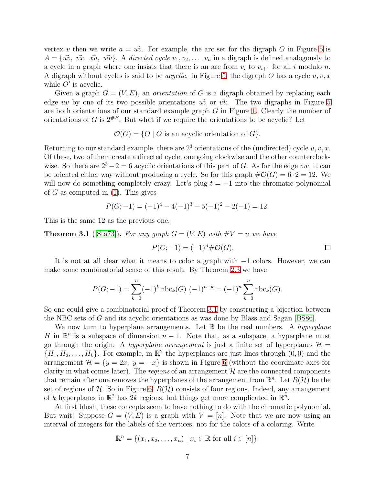vertex v then we write  $a = u\vec{v}$ . For example, the arc set for the digraph O in Figure [5](#page-5-1) is  $A = \{\vec{uv}, \vec{vx}, \vec{xu}, \vec{wv}\}\$ . A directed cycle  $v_1, v_2, \ldots, v_n$  in a digraph is defined analogously to a cycle in a graph where one insists that there is an arc from  $v_i$  to  $v_{i+1}$  for all i modulo n. A digraph without cycles is said to be *acyclic*. In Figure [5,](#page-5-1) the digraph O has a cycle  $u, v, x$ while  $O'$  is acyclic.

Given a graph  $G = (V, E)$ , an *orientation* of G is a digraph obtained by replacing each edge uv by one of its two possible orientations  $\vec{uv}$  or  $\vec{vu}$ . The two digraphs in Figure [5](#page-5-1) are both orientations of our standard example graph G in Figure [1.](#page-1-0) Clearly the number of orientations of G is  $2^{#E}$ . But what if we require the orientations to be acyclic? Let

 $\mathcal{O}(G) = \{O \mid O \text{ is an acyclic orientation of } G\}.$ 

Returning to our standard example, there are  $2<sup>3</sup>$  orientations of the (undirected) cycle u, v, x. Of these, two of them create a directed cycle, one going clockwise and the other counterclockwise. So there are  $2^3 - 2 = 6$  acyclic orientations of this part of G. As for the edge vw, it can be oriented either way without producing a cycle. So for this graph  $\#\mathcal{O}(G) = 6 \cdot 2 = 12$ . We will now do something completely crazy. Let's plug  $t = -1$  into the chromatic polynomial of G as computed in  $(1)$ . This gives

$$
P(G;-1) = (-1)^4 - 4(-1)^3 + 5(-1)^2 - 2(-1) = 12.
$$

This is the same 12 as the previous one.

<span id="page-6-0"></span>**Theorem 3.1** ([\[Sta73\]](#page-15-0)). For any graph  $G = (V, E)$  with  $\#V = n$  we have

$$
P(G; -1) = (-1)^n \# \mathcal{O}(G).
$$

It is not at all clear what it means to color a graph with −1 colors. However, we can make some combinatorial sense of this result. By Theorem [2.3](#page-5-2) we have

$$
P(G; -1) = \sum_{k=0}^{n} (-1)^{k} \operatorname{nbc}_{k}(G) (-1)^{n-k} = (-1)^{n} \sum_{k=0}^{n} \operatorname{nbc}_{k}(G).
$$

So one could give a combinatorial proof of Theorem [3.1](#page-6-0) by constructing a bijection between the NBC sets of G and its acyclic orientations as was done by Blass and Sagan [\[BS86\]](#page-15-3).

We now turn to hyperplane arrangements. Let  $\mathbb R$  be the real numbers. A hyperplane H in  $\mathbb{R}^n$  is a subspace of dimension  $n-1$ . Note that, as a subspace, a hyperplane must go through the origin. A *hyperplane arrangement* is just a finite set of hyperplanes  $\mathcal{H} =$  $\{H_1, H_2, \ldots, H_k\}$ . For example, in  $\mathbb{R}^2$  the hyperplanes are just lines through  $(0,0)$  and the arrangement  $\mathcal{H} = \{y = 2x, y = -x\}$  is shown in Figure [6](#page-7-0) (without the coordinate axes for clarity in what comes later). The regions of an arrangement  $\mathcal H$  are the connected components that remain after one removes the hyperplanes of the arrangement from  $\mathbb{R}^n$ . Let  $R(\mathcal{H})$  be the set of regions of  $H$ . So in Figure [6,](#page-7-0)  $R(H)$  consists of four regions. Indeed, any arrangement of k hyperplanes in  $\mathbb{R}^2$  has 2k regions, but things get more complicated in  $\mathbb{R}^n$ .

At first blush, these concepts seem to have nothing to do with the chromatic polynomial. But wait! Suppose  $G = (V, E)$  is a graph with  $V = [n]$ . Note that we are now using an interval of integers for the labels of the vertices, not for the colors of a coloring. Write

$$
\mathbb{R}^n = \{ (x_1, x_2, \dots, x_n) \mid x_i \in \mathbb{R} \text{ for all } i \in [n] \}.
$$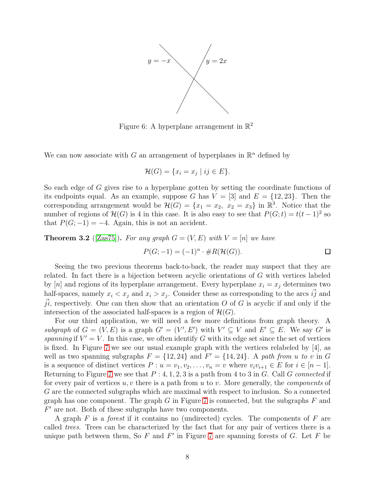

<span id="page-7-0"></span>Figure 6: A hyperplane arrangement in  $\mathbb{R}^2$ 

We can now associate with G an arrangement of hyperplanes in  $\mathbb{R}^n$  defined by

$$
\mathcal{H}(G) = \{x_i = x_j \mid ij \in E\}.
$$

So each edge of G gives rise to a hyperplane gotten by setting the coordinate functions of its endpoints equal. As an example, suppose G has  $V = [3]$  and  $E = \{12, 23\}$ . Then the corresponding arrangement would be  $\mathcal{H}(G) = \{x_1 = x_2, x_2 = x_3\}$  in  $\mathbb{R}^3$ . Notice that the number of regions of  $\mathcal{H}(G)$  is 4 in this case. It is also easy to see that  $P(G; t) = t(t-1)^2$  so that  $P(G; -1) = -4$ . Again, this is not an accident.

<span id="page-7-1"></span>**Theorem 3.2** ([\[Zas75\]](#page-16-2)). For any graph  $G = (V, E)$  with  $V = [n]$  we have

$$
P(G; -1) = (-1)^n \cdot \#R(\mathcal{H}(G)).
$$

Seeing the two previous theorems back-to-back, the reader may suspect that they are related. In fact there is a bijection between acyclic orientations of G with vertices labeled by [n] and regions of its hyperplane arrangement. Every hyperplane  $x_i = x_j$  determines two half-spaces, namely  $x_i < x_j$  and  $x_i > x_j$ . Consider these as corresponding to the arcs  $\vec{ij}$  and ji, respectively. One can then show that an orientation  $O$  of G is acyclic if and only if the intersection of the associated half-spaces is a region of  $\mathcal{H}(G)$ .

For our third application, we will need a few more definitions from graph theory. A subgraph of  $G = (V, E)$  is a graph  $G' = (V', E')$  with  $V' \subseteq V$  and  $E' \subseteq E$ . We say G' is spanning if  $V' = V$ . In this case, we often identify G with its edge set since the set of vertices is fixed. In Figure [7](#page-8-0) we see our usual example graph with the vertices relabeled by [4], as well as two spanning subgraphs  $F = \{12, 24\}$  and  $F' = \{14, 24\}$ . A path from u to v in G is a sequence of distinct vertices  $P: u = v_1, v_2, \ldots, v_n = v$  where  $v_i v_{i+1} \in E$  for  $i \in [n-1]$ . Returning to Figure [7](#page-8-0) we see that  $P: 4, 1, 2, 3$  is a path from 4 to 3 in G. Call G connected if for every pair of vertices  $u, v$  there is a path from  $u$  to  $v$ . More generally, the *components* of G are the connected subgraphs which are maximal with respect to inclusion. So a connected graph has one component. The graph  $G$  in Figure [7](#page-8-0) is connected, but the subgraphs  $F$  and  $F'$  are not. Both of these subgraphs have two components.

A graph  $F$  is a *forest* if it contains no (undirected) cycles. The components of  $F$  are called trees. Trees can be characterized by the fact that for any pair of vertices there is a unique path between them, So  $F$  and  $F'$  in Figure [7](#page-8-0) are spanning forests of  $G$ . Let  $F$  be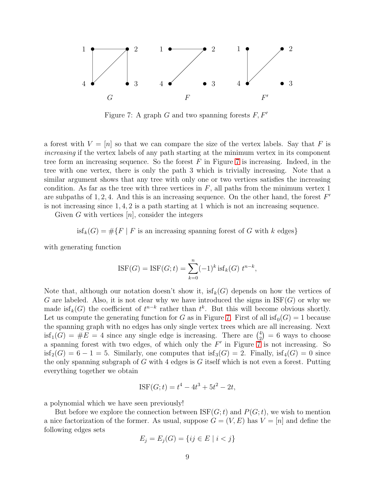

<span id="page-8-0"></span>Figure 7: A graph G and two spanning forests  $F, F'$ 

a forest with  $V = [n]$  so that we can compare the size of the vertex labels. Say that F is increasing if the vertex labels of any path starting at the minimum vertex in its component tree form an increasing sequence. So the forest  $F$  in Figure [7](#page-8-0) is increasing. Indeed, in the tree with one vertex, there is only the path 3 which is trivially increasing. Note that a similar argument shows that any tree with only one or two vertices satisfies the increasing condition. As far as the tree with three vertices in  $F$ , all paths from the minimum vertex 1 are subpaths of  $1, 2, 4$ . And this is an increasing sequence. On the other hand, the forest  $F'$ is not increasing since 1, 4, 2 is a path starting at 1 which is not an increasing sequence.

Given G with vertices  $[n]$ , consider the integers

is 
$$
f_k(G) = \# \{ F \mid F \text{ is an increasing spanning forest of } G \text{ with } k \text{ edges} \}
$$

with generating function

$$
ISF(G) = ISF(G; t) = \sum_{k=0}^{n} (-1)^k \text{ isf}_k(G) \ t^{n-k},
$$

Note that, although our notation doesn't show it,  $isf_k(G)$  depends on how the vertices of G are labeled. Also, it is not clear why we have introduced the signs in  $\operatorname{ISF}(G)$  or why we made is  $f_k(G)$  the coefficient of  $t^{n-k}$  rather than  $t^k$ . But this will become obvious shortly. Let us compute the generating function for G as in Figure [7.](#page-8-0) First of all  $isf_0(G) = 1$  because the spanning graph with no edges has only single vertex trees which are all increasing. Next  $\text{isf}_{1}(G) = \#E = 4$  since any single edge is increasing. There are  $\binom{4}{2}$  $\binom{4}{2}$  = 6 ways to choose a spanning forest with two edges, of which only the  $F'$  in Figure  $\overline{7}$  is not increasing. So  $isf_2(G) = 6 - 1 = 5$ . Similarly, one computes that  $isf_3(G) = 2$ . Finally,  $isf_4(G) = 0$  since the only spanning subgraph of  $G$  with 4 edges is  $G$  itself which is not even a forest. Putting everything together we obtain

$$
ISF(G; t) = t^4 - 4t^3 + 5t^2 - 2t,
$$

a polynomial which we have seen previously!

But before we explore the connection between  $ISF(G; t)$  and  $P(G; t)$ , we wish to mention a nice factorization of the former. As usual, suppose  $G = (V, E)$  has  $V = [n]$  and define the following edges sets

$$
E_j = E_j(G) = \{ ij \in E \mid i < j \}
$$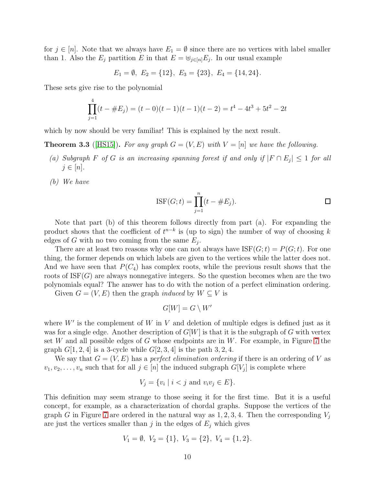for  $j \in [n]$ . Note that we always have  $E_1 = \emptyset$  since there are no vertices with label smaller than 1. Also the  $E_j$  partition E in that  $E = \biguplus_{j \in [n]} E_j$ . In our usual example

$$
E_1 = \emptyset, E_2 = \{12\}, E_3 = \{23\}, E_4 = \{14, 24\}.
$$

These sets give rise to the polynomial

$$
\prod_{j=1}^{4} (t - \#E_j) = (t - 0)(t - 1)(t - 1)(t - 2) = t^4 - 4t^3 + 5t^2 - 2t
$$

which by now should be very familiar! This is explained by the next result.

<span id="page-9-0"></span>**Theorem 3.3** ([\[HS15\]](#page-15-1)). For any graph  $G = (V, E)$  with  $V = [n]$  we have the following.

- (a) Subgraph F of G is an increasing spanning forest if and only if  $|F \cap E_j| \leq 1$  for all  $j \in [n]$ .
- (b) We have

$$
ISF(G; t) = \prod_{j=1}^{n} (t - \#E_j).
$$

Note that part (b) of this theorem follows directly from part (a). For expanding the product shows that the coefficient of  $t^{n-k}$  is (up to sign) the number of way of choosing k edges of G with no two coming from the same  $E_j$ .

There are at least two reasons why one can not always have  $ISF(G; t) = P(G; t)$ . For one thing, the former depends on which labels are given to the vertices while the latter does not. And we have seen that  $P(C_4)$  has complex roots, while the previous result shows that the roots of  $\operatorname{ISF}(G)$  are always nonnegative integers. So the question becomes when are the two polynomials equal? The answer has to do with the notion of a perfect elimination ordering.

Given  $G = (V, E)$  then the graph *induced* by  $W \subseteq V$  is

$$
G[W] = G \setminus W'
$$

where  $W'$  is the complement of W in V and deletion of multiple edges is defined just as it was for a single edge. Another description of  $G[W]$  is that it is the subgraph of G with vertex set W and all possible edges of G whose endpoints are in W. For example, in Figure [7](#page-8-0) the graph  $G[1, 2, 4]$  is a 3-cycle while  $G[2, 3, 4]$  is the path 3, 2, 4.

We say that  $G = (V, E)$  has a *perfect elimination ordering* if there is an ordering of V as  $v_1, v_2, \ldots, v_n$  such that for all  $j \in [n]$  the induced subgraph  $G[V_j]$  is complete where

$$
V_j = \{v_i \mid i < j \text{ and } v_i v_j \in E\}.
$$

This definition may seem strange to those seeing it for the first time. But it is a useful concept, for example, as a characterization of chordal graphs. Suppose the vertices of the graph G in Figure [7](#page-8-0) are ordered in the natural way as  $1, 2, 3, 4$ . Then the corresponding  $V_i$ are just the vertices smaller than j in the edges of  $E_j$  which gives

$$
V_1 = \emptyset, V_2 = \{1\}, V_3 = \{2\}, V_4 = \{1, 2\}.
$$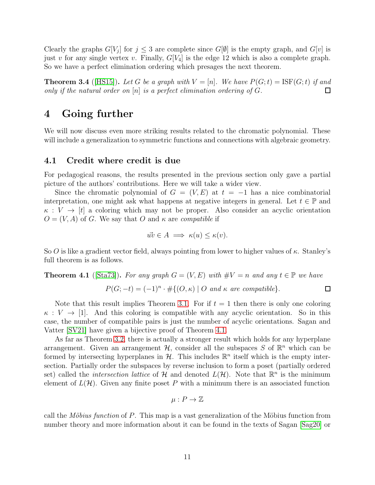Clearly the graphs  $G[V_j]$  for  $j \leq 3$  are complete since  $G[\emptyset]$  is the empty graph, and  $G[v]$  is just v for any single vertex v. Finally,  $G[V_4]$  is the edge 12 which is also a complete graph. So we have a perfect elimination ordering which presages the next theorem.

<span id="page-10-1"></span>**Theorem 3.4** ([\[HS15\]](#page-15-1)). Let G be a graph with  $V = [n]$ . We have  $P(G; t) = \text{ISF}(G; t)$  if and only if the natural order on  $[n]$  is a perfect elimination ordering of  $G$ . □

### 4 Going further

We will now discuss even more striking results related to the chromatic polynomial. These will include a generalization to symmetric functions and connections with algebraic geometry.

#### 4.1 Credit where credit is due

For pedagogical reasons, the results presented in the previous section only gave a partial picture of the authors' contributions. Here we will take a wider view.

Since the chromatic polynomial of  $G = (V, E)$  at  $t = -1$  has a nice combinatorial interpretation, one might ask what happens at negative integers in general. Let  $t \in \mathbb{P}$  and  $\kappa: V \to [t]$  a coloring which may not be proper. Also consider an acyclic orientation  $O = (V, A)$  of G. We say that O and  $\kappa$  are compatible if

$$
\vec{uv} \in A \implies \kappa(u) \le \kappa(v).
$$

So O is like a gradient vector field, always pointing from lower to higher values of  $\kappa$ . Stanley's full theorem is as follows.

#### <span id="page-10-0"></span>**Theorem 4.1** ([\[Sta73\]](#page-15-0)). For any graph  $G = (V, E)$  with  $\#V = n$  and any  $t \in \mathbb{P}$  we have

$$
P(G; -t) = (-1)^n \cdot # \{(O, \kappa) \mid O \text{ and } \kappa \text{ are compatible}\}.
$$

Note that this result implies Theorem [3.1.](#page-6-0) For if  $t = 1$  then there is only one coloring  $\kappa: V \to [1]$ . And this coloring is compatible with any acyclic orientation. So in this case, the number of compatible pairs is just the number of acyclic orientations. Sagan and Vatter [\[SV21\]](#page-15-4) have given a bijective proof of Theorem [4.1.](#page-10-0)

As far as Theorem [3.2,](#page-7-1) there is actually a stronger result which holds for any hyperplane arrangement. Given an arrangement  $H$ , consider all the subspaces S of  $\mathbb{R}^n$  which can be formed by intersecting hyperplanes in  $\mathcal{H}$ . This includes  $\mathbb{R}^n$  itself which is the empty intersection. Partially order the subspaces by reverse inclusion to form a poset (partially ordered set) called the *intersection lattice* of  $H$  and denoted  $L(\mathcal{H})$ . Note that  $\mathbb{R}^n$  is the minimum element of  $L(\mathcal{H})$ . Given any finite poset P with a minimum there is an associated function

$$
\mu: P \to \mathbb{Z}
$$

call the *Möbius function* of P. This map is a vast generalization of the Möbius function from number theory and more information about it can be found in the texts of Sagan [\[Sag20\]](#page-15-5) or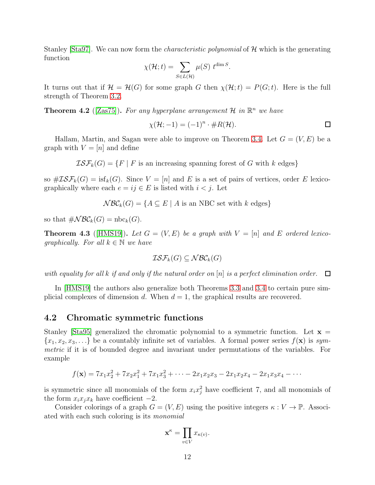Stanley [\[Sta97\]](#page-15-6). We can now form the *characteristic polynomial* of  $H$  which is the generating function

$$
\chi(\mathcal{H};t) = \sum_{S \in L(\mathcal{H})} \mu(S) \ t^{\dim S}.
$$

It turns out that if  $\mathcal{H} = \mathcal{H}(G)$  for some graph G then  $\chi(\mathcal{H};t) = P(G;t)$ . Here is the full strength of Theorem [3.2.](#page-7-1)

**Theorem 4.2** ([\[Zas75\]](#page-16-2)). For any hyperplane arrangement H in  $\mathbb{R}^n$  we have

$$
\chi(\mathcal{H}; -1) = (-1)^n \cdot \#R(\mathcal{H}).
$$

Hallam, Martin, and Sagan were able to improve on Theorem [3.4.](#page-10-1) Let  $G = (V, E)$  be a graph with  $V = [n]$  and define

 $\mathcal{ISF}_{k}(G) = \{F \mid F \text{ is an increasing spanning forest of } G \text{ with } k \text{ edges}\}\$ 

so  $\#IS\mathcal{F}_k(G) = \text{isf}_k(G)$ . Since  $V = [n]$  and E is a set of pairs of vertices, order E lexicographically where each  $e = ij \in E$  is listed with  $i < j$ . Let

 $NBC_k(G) = \{A \subseteq E \mid A \text{ is an NBC set with } k \text{ edges}\}\$ 

so that  $\#NBC_k(G) = \text{nbc}_k(G)$ .

**Theorem 4.3** ([\[HMS19\]](#page-15-2)). Let  $G = (V, E)$  be a graph with  $V = [n]$  and E ordered lexicographically. For all  $k \in \mathbb{N}$  we have

$$
\mathcal{ISF}_{k}(G) \subseteq \mathcal{NBC}_{k}(G)
$$

with equality for all k if and only if the natural order on [n] is a perfect elimination order.  $\Box$ 

In [\[HMS19\]](#page-15-2) the authors also generalize both Theorems [3.3](#page-9-0) and [3.4](#page-10-1) to certain pure simplicial complexes of dimension d. When  $d = 1$ , the graphical results are recovered.

#### 4.2 Chromatic symmetric functions

Stanley [\[Sta95\]](#page-15-7) generalized the chromatic polynomial to a symmetric function. Let  $x =$  ${x_1, x_2, x_3, \ldots}$  be a countably infinite set of variables. A formal power series  $f(\mathbf{x})$  is symmetric if it is of bounded degree and invariant under permutations of the variables. For example

$$
f(\mathbf{x}) = 7x_1x_2^2 + 7x_2x_1^2 + 7x_1x_3^2 + \cdots - 2x_1x_2x_3 - 2x_1x_2x_4 - 2x_1x_3x_4 - \cdots
$$

is symmetric since all monomials of the form  $x_i x_j^2$  have coefficient 7, and all monomials of the form  $x_i x_j x_k$  have coefficient  $-2$ .

Consider colorings of a graph  $G = (V, E)$  using the positive integers  $\kappa : V \to \mathbb{P}$ . Associated with each such coloring is its monomial

$$
\mathbf{x}^{\kappa} = \prod_{v \in V} x_{\kappa(v)}.
$$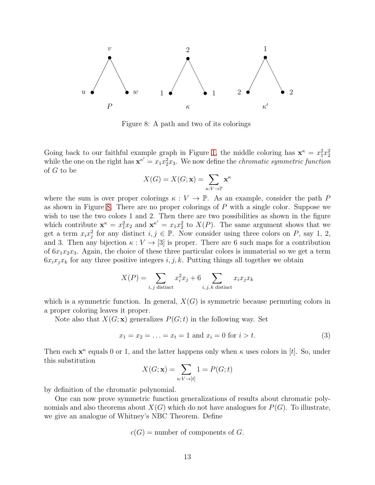

<span id="page-12-0"></span>Figure 8: A path and two of its colorings

Going back to our faithful example graph in Figure [1,](#page-1-0) the middle coloring has  $\mathbf{x}^{\kappa} = x_1^2 x_2^2$ while the one on the right has  $\mathbf{x}^{k'} = x_1 x_2^2 x_3$ . We now define the *chromatic symmetric function* of G to be

$$
X(G) = X(G; \mathbf{x}) = \sum_{\kappa: V \to \mathbb{P}} \mathbf{x}^{\kappa}
$$

where the sum is over proper colorings  $\kappa : V \to \mathbb{P}$ . As an example, consider the path P as shown in Figure [8.](#page-12-0) There are no proper colorings of  $P$  with a single color. Suppose we wish to use the two colors 1 and 2. Then there are two possibilities as shown in the figure which contribute  $\mathbf{x}^{\kappa} = x_1^2 x_2$  and  $\mathbf{x}^{\kappa'} = x_1 x_2^2$  to  $X(P)$ . The same argument shows that we get a term  $x_i x_j^2$  for any distinct  $i, j \in \mathbb{P}$ . Now consider using three colors on P, say 1, 2, and 3. Then any bijection  $\kappa : V \to [3]$  is proper. There are 6 such maps for a contribution of  $6x_1x_2x_3$ . Again, the choice of these three particular colors is immaterial so we get a term  $6x_ix_jx_k$  for any three positive integers i, j, k. Putting things all together we obtain

$$
X(P) = \sum_{i,j \text{ distinct}} x_i^2 x_j + 6 \sum_{i,j,k \text{ distinct}} x_i x_j x_k
$$

which is a symmetric function. In general,  $X(G)$  is symmetric because permuting colors in a proper coloring leaves it proper.

Note also that  $X(G; \mathbf{x})$  generalizes  $P(G; t)$  in the following way. Set

<span id="page-12-1"></span>
$$
x_1 = x_2 = \dots = x_t = 1 \text{ and } x_i = 0 \text{ for } i > t. \tag{3}
$$

Then each  $\mathbf{x}^{\kappa}$  equals 0 or 1, and the latter happens only when  $\kappa$  uses colors in [t]. So, under this substitution

$$
X(G; \mathbf{x}) = \sum_{\kappa: V \to [t]} 1 = P(G; t)
$$

by definition of the chromatic polynomial.

One can now prove symmetric function generalizations of results about chromatic polynomials and also theorems about  $X(G)$  which do not have analogues for  $P(G)$ . To illustrate, we give an analogue of Whitney's NBC Theorem. Define

$$
c(G)
$$
 = number of components of  $G$ .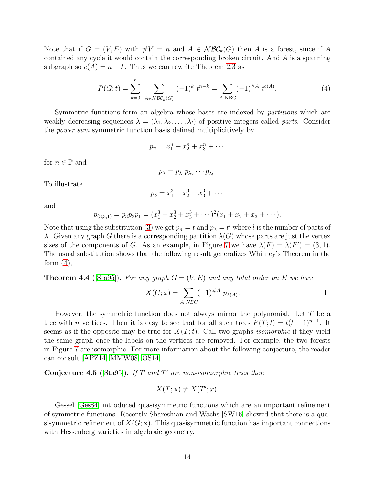Note that if  $G = (V, E)$  with  $\#V = n$  and  $A \in \mathcal{NBC}_k(G)$  then A is a forest, since if A contained any cycle it would contain the corresponding broken circuit. And A is a spanning subgraph so  $c(A) = n - k$ . Thus we can rewrite Theorem [2.3](#page-5-2) as

<span id="page-13-0"></span>
$$
P(G;t) = \sum_{k=0}^{n} \sum_{A \in \mathcal{NBC}_k(G)} (-1)^k t^{n-k} = \sum_{A \text{ NBC}} (-1)^{\#A} t^{c(A)}.
$$
 (4)

Symmetric functions form an algebra whose bases are indexed by *partitions* which are weakly decreasing sequences  $\lambda = (\lambda_1, \lambda_2, \ldots, \lambda_l)$  of positive integers called parts. Consider the power sum symmetric function basis defined multiplicitively by

$$
p_n = x_1^n + x_2^n + x_3^n + \cdots
$$

for  $n \in \mathbb{P}$  and

$$
p_{\lambda}=p_{\lambda_1}p_{\lambda_2}\cdots p_{\lambda_l}.
$$

To illustrate

$$
p_3 = x_1^3 + x_2^3 + x_3^3 + \cdots
$$

and

$$
p_{(3,3,1)} = p_3 p_3 p_1 = (x_1^3 + x_2^3 + x_3^3 + \cdots)^2 (x_1 + x_2 + x_3 + \cdots).
$$

Note that using the substitution [\(3\)](#page-12-1) we get  $p_n = t$  and  $p_\lambda = t^l$  where l is the number of parts of λ. Given any graph G there is a corresponding partition  $\lambda(G)$  whose parts are just the vertex sizes of the components of G. As an example, in Figure [7](#page-8-0) we have  $\lambda(F) = \lambda(F') = (3, 1)$ . The usual substitution shows that the following result generalizes Whitney's Theorem in the form  $(4)$ ,

**Theorem 4.4** ([\[Sta95\]](#page-15-7)). For any graph  $G = (V, E)$  and any total order on E we have

$$
X(G;x) = \sum_{A \ NBC} (-1)^{\#A} p_{\lambda(A)}.
$$

However, the symmetric function does not always mirror the polynomial. Let  $T$  be a tree with *n* vertices. Then it is easy to see that for all such trees  $P(T;t) = t(t-1)^{n-1}$ . It seems as if the opposite may be true for  $X(T;t)$ . Call two graphs *isomorphic* if they yield the same graph once the labels on the vertices are removed. For example, the two forests in Figure [7](#page-8-0) are isomorphic. For more information about the following conjecture, the reader can consult [\[APZ14,](#page-14-3) [MMW08,](#page-15-8) [OS14\]](#page-15-9).

**Conjecture 4.5** ([\[Sta95\]](#page-15-7)). If T and T' are non-isomorphic trees then

$$
X(T; \mathbf{x}) \neq X(T'; x).
$$

Gessel [\[Ges84\]](#page-15-10) introduced quasisymmetric functions which are an important refinement of symmetric functions. Recently Shareshian and Wachs [\[SW16\]](#page-16-3) showed that there is a quasisymmetric refinement of  $X(G; x)$ . This quasisymmetric function has important connections with Hessenberg varieties in algebraic geometry.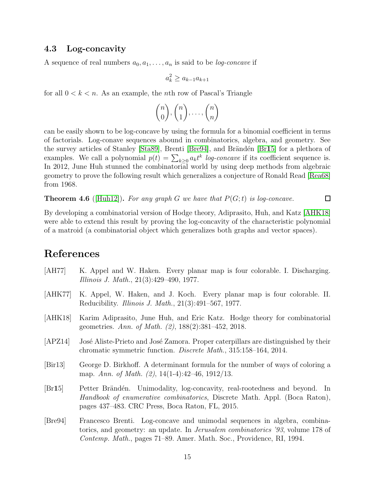### 4.3 Log-concavity

A sequence of real numbers  $a_0, a_1, \ldots, a_n$  is said to be *log-concave* if

 $a_k^2 \ge a_{k-1}a_{k+1}$ 

for all  $0 < k < n$ . As an example, the *n*th row of Pascal's Triangle

$$
\binom{n}{0}, \binom{n}{1}, \dots, \binom{n}{n}
$$

can be easily shown to be log-concave by using the formula for a binomial coefficient in terms of factorials. Log-conave sequences abound in combinatorics, algebra, and geometry. See the survey articles of Stanley [\[Sta89\]](#page-15-11), Brenti [\[Bre94\]](#page-14-4), and Brändén [\[Br](#page-14-5)15] for a plethora of examples. We call a polynomial  $p(t) = \sum_{k \geq 0} a_k t^k$  log-concave if its coefficient sequence is. In 2012, June Huh stunned the combinatorial world by using deep methods from algebraic geometry to prove the following result which generalizes a conjecture of Ronald Read [\[Rea68\]](#page-15-12) from 1968.

**Theorem 4.6** ([\[Huh12\]](#page-15-13)). For any graph G we have that  $P(G; t)$  is log-concave.

By developing a combinatorial version of Hodge theory, Adiprasito, Huh, and Katz [\[AHK18\]](#page-14-6) were able to extend this result by proving the log-concavity of the characteristic polynomial of a matroid (a combinatorial object which generalizes both graphs and vector spaces).

 $\Box$ 

## References

- <span id="page-14-0"></span>[AH77] K. Appel and W. Haken. Every planar map is four colorable. I. Discharging. Illinois J. Math., 21(3):429–490, 1977.
- <span id="page-14-1"></span>[AHK77] K. Appel, W. Haken, and J. Koch. Every planar map is four colorable. II. Reducibility. Illinois J. Math., 21(3):491–567, 1977.
- <span id="page-14-6"></span>[AHK18] Karim Adiprasito, June Huh, and Eric Katz. Hodge theory for combinatorial geometries. Ann. of Math. (2), 188(2):381–452, 2018.
- <span id="page-14-3"></span>[APZ14] José Aliste-Prieto and José Zamora. Proper caterpillars are distinguished by their chromatic symmetric function. Discrete Math., 315:158–164, 2014.
- <span id="page-14-2"></span>[Bir13] George D. Birkhoff. A determinant formula for the number of ways of coloring a map. Ann. of Math. (2), 14(1-4):42-46, 1912/13.
- <span id="page-14-5"></span>[Br15] Petter Brändén. Unimodality, log-concavity, real-rootedness and beyond. In Handbook of enumerative combinatorics, Discrete Math. Appl. (Boca Raton), pages 437–483. CRC Press, Boca Raton, FL, 2015.
- <span id="page-14-4"></span>[Bre94] Francesco Brenti. Log-concave and unimodal sequences in algebra, combinatorics, and geometry: an update. In Jerusalem combinatorics '93, volume 178 of Contemp. Math., pages 71–89. Amer. Math. Soc., Providence, RI, 1994.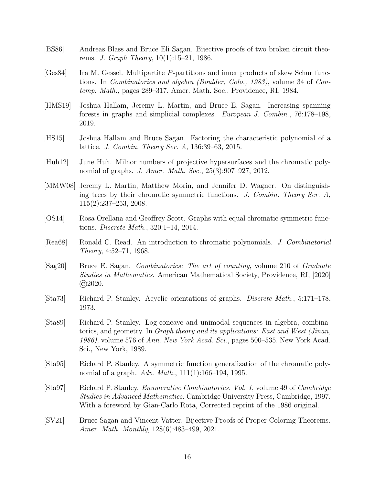- <span id="page-15-3"></span>[BS86] Andreas Blass and Bruce Eli Sagan. Bijective proofs of two broken circuit theorems. J. Graph Theory, 10(1):15–21, 1986.
- <span id="page-15-10"></span>[Ges84] Ira M. Gessel. Multipartite P-partitions and inner products of skew Schur functions. In Combinatorics and algebra (Boulder, Colo., 1983), volume 34 of Contemp. Math., pages 289–317. Amer. Math. Soc., Providence, RI, 1984.
- <span id="page-15-2"></span>[HMS19] Joshua Hallam, Jeremy L. Martin, and Bruce E. Sagan. Increasing spanning forests in graphs and simplicial complexes. European J. Combin., 76:178–198, 2019.
- <span id="page-15-1"></span>[HS15] Joshua Hallam and Bruce Sagan. Factoring the characteristic polynomial of a lattice. J. Combin. Theory Ser. A, 136:39–63, 2015.
- <span id="page-15-13"></span>[Huh12] June Huh. Milnor numbers of projective hypersurfaces and the chromatic polynomial of graphs. *J. Amer. Math. Soc.*, 25(3):907–927, 2012.
- <span id="page-15-8"></span>[MMW08] Jeremy L. Martin, Matthew Morin, and Jennifer D. Wagner. On distinguishing trees by their chromatic symmetric functions. J. Combin. Theory Ser.  $A$ , 115(2):237–253, 2008.
- <span id="page-15-9"></span>[OS14] Rosa Orellana and Geoffrey Scott. Graphs with equal chromatic symmetric functions. Discrete Math., 320:1–14, 2014.
- <span id="page-15-12"></span>[Rea68] Ronald C. Read. An introduction to chromatic polynomials. J. Combinatorial Theory, 4:52–71, 1968.
- <span id="page-15-5"></span>[Sag20] Bruce E. Sagan. Combinatorics: The art of counting, volume 210 of Graduate Studies in Mathematics. American Mathematical Society, Providence, RI, [2020]  $\binom{c}{2020}$ .
- <span id="page-15-0"></span>[Sta73] Richard P. Stanley. Acyclic orientations of graphs. Discrete Math., 5:171–178, 1973.
- <span id="page-15-11"></span>[Sta89] Richard P. Stanley. Log-concave and unimodal sequences in algebra, combinatorics, and geometry. In Graph theory and its applications: East and West (Jinan, 1986), volume 576 of Ann. New York Acad. Sci., pages 500–535. New York Acad. Sci., New York, 1989.
- <span id="page-15-7"></span>[Sta95] Richard P. Stanley. A symmetric function generalization of the chromatic polynomial of a graph. Adv. Math.,  $111(1):166-194$ , 1995.
- <span id="page-15-6"></span>[Sta97] Richard P. Stanley. Enumerative Combinatorics. Vol. 1, volume 49 of Cambridge Studies in Advanced Mathematics. Cambridge University Press, Cambridge, 1997. With a foreword by Gian-Carlo Rota, Corrected reprint of the 1986 original.
- <span id="page-15-4"></span>[SV21] Bruce Sagan and Vincent Vatter. Bijective Proofs of Proper Coloring Theorems. Amer. Math. Monthly, 128(6):483–499, 2021.